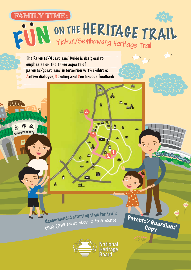## **FAMILY TIME: FAMILY TIME:**



The Parents'/Guardians' Guide is designed to emphasise on the three aspects of parents'/guardians' interaction with children: Active dialogue, Bonding and Continuous feedback.

 $44$ 

**3**

蠱

 $\blacksquare$ 

当



<sup>R</sup>ecommende<sup>d</sup> <sup>s</sup>tartin<sup>g</sup> <sup>t</sup>im<sup>e</sup> <sup>f</sup>o<sup>r</sup> <sup>t</sup>rail: 0900 (Trail takes about 2 to 3 hours)

Ä

À



**National** Heritage

**1 2**

马强

А

Ò

 $a_{\rm m}$ 

۸

пŕ

Khoo Teck Puat Hospital

يو<br>مو

 $\frac{1}{2}$ 

 $\overline{\bullet}$ 

Parents'/Guardians' Copy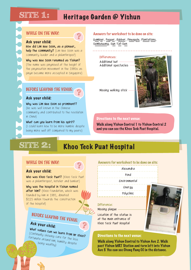## SITTE 1: Heritage Garden @ Yishun

**?**

**?**

#### WHILE ON THE WAY:

Ask your child:

**How did Lim Nee Soon, as a pioneer, help the community?** (Lim Nee Soon was a community leader and a philanthropist)

**Why was Nee Soon renamed as Yishun?** (The name was pinyinised at the height of the pinyinisation movement in the 198Os as pinyin became more accepted in Singapore)

#### Answers for worksheet to be done on site:

Gambier, Pepper, Rubber, Pineapple, Plantations, Sembawang, Sun Yat-Sen

> **Differences:** Additional hat Additional spectacles

Missing walking stick



#### BEFORE LEAVING THE VENUE:

#### Ask your child:

**Why was Lim Nee Soon so prominent?**  (He was well known in the Chinese community and contributed to the revolution in China)

#### **What can you learn from his spirit?**

(I could learn how to be more humble despite being more well off compared to my peers)

## Directions to the next venue:

Walk along Yishun Central 1 to Yishun Central 2 and you can see the Khoo Teck Puat Hospital.

## **SITE 2:** Khoo Teck Puat Hospital

#### Ask your child:

**Who was Khoo Teck Puat?** (Khoo Teck Puat was a philanthropist, hotelier and banker)

**Why was the hospital in Yishun named after him?** (Khoo Foundation, which was founded by him in 1981, donated \$125 million towards the construction of the hospital)

# BEFORE LEAVING THE VENUE:

## Ask your child:

**What values can we learn from Mr Khoo?** (Continually showing care for the less<br>fortunate around him, humility despite<br>being wealthu) fortunate around him, humility despite<br>being wealthy)

#### **WHILE ON THE WAY:** *Answers for worksheet to be done on site:*

Alexandra Pond Environmental Energy Polyclinic

#### **Difference:**

**?**

Missing plaque

Location of the statue is at the main entrance of Khoo Teck Puat Hospital

#### Directions to the next venue:

Walk along Yishun Central to Yishun Ave 2. Walk past Yishun MRT Station and turn left into Yishun Ave 5. You can see Chong Pang CC in the distance.

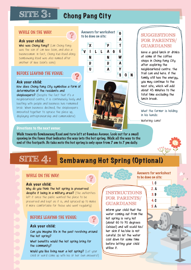# **SITE 3:** Chong Pang City

#### WHILE ON THE WAY:

#### Ask your child:

**Who was Chong Pang?** (Lim Chong Pang was the son of Lim Nee Soon, and also a businessman. In fact, Chong Kuo Road along Sembawang Road was also named after another of Nee Soon's sons)

#### BEFORE LEAVING THE VENUE:

#### Ask your child:

**How does Chong Pang City symbolise a form of determination of the residents and** 

shopkeepers? (Despite the fact that it's a neighbourhood centre, it is continuously lively and bustling with people and business has remained brisk. When business declined, the shopkeepers innovated together to spruce the place up, displaying entrepreneurship and camaraderie)

#### Answers for worksheet Answers for worksheet | 1 G<br>to be done on site:



# SON

### **SUGGESTIONS FOR PARENTS/ GUARDIANS!**

**Have a good lunch or drinks at some of the coffee shops in Chong Pang City after exploring the neighbourhood centre. The trail can end here. If the family still has the energy, you may continue to the next site, which will add about 45 minutes to the total time excluding the lunch break.**

**What the farmer is holding in his hands:**

Watering cans!

#### Directions to the next venue:

Walk towards Sembawang Road and turn left at Gambas Avenue. Look out for a small opening in the fence that indicates the way into the hot spring. Walk all the way to the end of the footpath. Do take note the hot spring is only open from 7 am to 7 pm daily.

**?**



## SITE  $4:$  **Sembawang Hot Spring (Optional)**

#### WHILE ON THE WAY:

#### Ask your child:

**Why do you think the hot spring is preserved despite it being in a military area?** (The authorities left it since the public wanted the place to be preserved and kept as it is, and spruced up to make it more comfortable for those who went regularly)

#### BEFORE LEAVING THE VENUE:

#### Ask your child:

**Can you imagine life in the past revolving around the hot spring?**

**What benefits would the hot spring bring for the community?**

**Would you like living near a hot spring?** (Let your child or ward come up with his or her own answers!)



Answers for worksheet to be done on site: 1. C

> 2. A 3. B 4. C 5. A

#### **INSTRUCTIONS FOR PARENTS/ GUARDIANS!**

**Inform your child that the water coming out from the hot spring is very hot (about 6O to 7O degrees Celsius!) and will scald his / her skin if he /she is not careful. Do let the water cool down for some time before letting your child utilise it.**